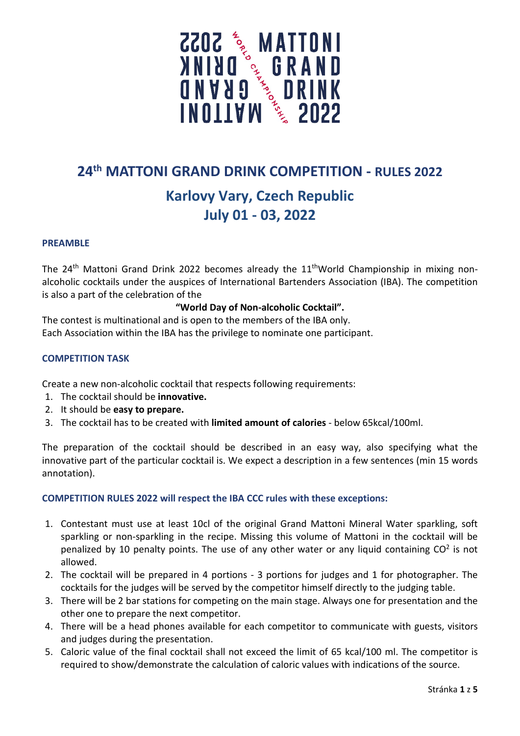

## **24th MATTONI GRAND DRINK COMPETITION - RULES 2022**

# **Karlovy Vary, Czech Republic July 01 - 03, 2022**

#### **PREAMBLE**

The  $24<sup>th</sup>$  Mattoni Grand Drink 2022 becomes already the  $11<sup>th</sup>$ World Championship in mixing nonalcoholic cocktails under the auspices of International Bartenders Association (IBA). The competition is also a part of the celebration of the

#### **"World Day of Non-alcoholic Cocktail".**

The contest is multinational and is open to the members of the IBA only. Each Association within the IBA has the privilege to nominate one participant.

#### **COMPETITION TASK**

Create a new non-alcoholic cocktail that respects following requirements:

- 1. The cocktail should be **innovative.**
- 2. It should be **easy to prepare.**
- 3. The cocktail has to be created with **limited amount of calories** below 65kcal/100ml.

The preparation of the cocktail should be described in an easy way, also specifying what the innovative part of the particular cocktail is. We expect a description in a few sentences (min 15 words annotation).

#### **COMPETITION RULES 2022 will respect the IBA CCC rules with these exceptions:**

- 1. Contestant must use at least 10cl of the original Grand Mattoni Mineral Water sparkling, soft sparkling or non-sparkling in the recipe. Missing this volume of Mattoni in the cocktail will be penalized by 10 penalty points. The use of any other water or any liquid containing  $CO<sup>2</sup>$  is not allowed.
- 2. The cocktail will be prepared in 4 portions 3 portions for judges and 1 for photographer. The cocktails for the judges will be served by the competitor himself directly to the judging table.
- 3. There will be 2 bar stations for competing on the main stage. Always one for presentation and the other one to prepare the next competitor.
- 4. There will be a head phones available for each competitor to communicate with guests, visitors and judges during the presentation.
- 5. Caloric value of the final cocktail shall not exceed the limit of 65 kcal/100 ml. The competitor is required to show/demonstrate the calculation of caloric values with indications of the source.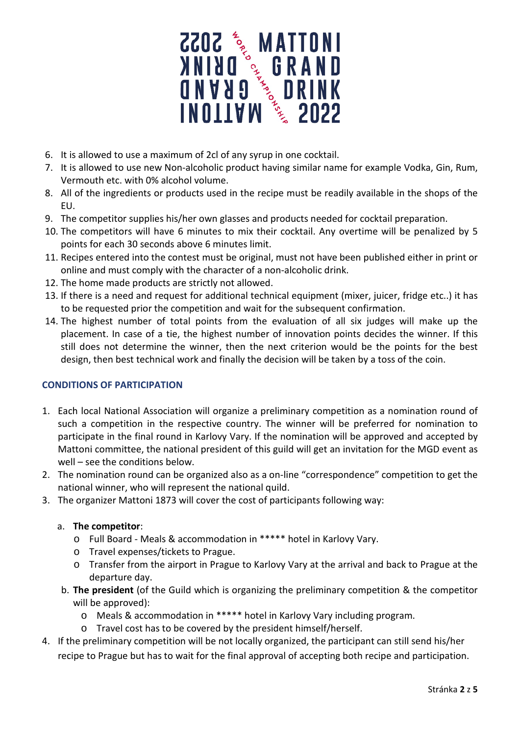

- 6. It is allowed to use a maximum of 2cl of any syrup in one cocktail.
- 7. It is allowed to use new Non-alcoholic product having similar name for example Vodka, Gin, Rum, Vermouth etc. with 0% alcohol volume.
- 8. All of the ingredients or products used in the recipe must be readily available in the shops of the EU.
- 9. The competitor supplies his/her own glasses and products needed for cocktail preparation.
- 10. The competitors will have 6 minutes to mix their cocktail. Any overtime will be penalized by 5 points for each 30 seconds above 6 minutes limit.
- 11. Recipes entered into the contest must be original, must not have been published either in print or online and must comply with the character of a non-alcoholic drink.
- 12. The home made products are strictly not allowed.
- 13. If there is a need and request for additional technical equipment (mixer, juicer, fridge etc..) it has to be requested prior the competition and wait for the subsequent confirmation.
- 14. The highest number of total points from the evaluation of all six judges will make up the placement. In case of a tie, the highest number of innovation points decides the winner. If this still does not determine the winner, then the next criterion would be the points for the best design, then best technical work and finally the decision will be taken by a toss of the coin.

### **CONDITIONS OF PARTICIPATION**

- 1. Each local National Association will organize a preliminary competition as a nomination round of such a competition in the respective country. The winner will be preferred for nomination to participate in the final round in Karlovy Vary. If the nomination will be approved and accepted by Mattoni committee, the national president of this guild will get an invitation for the MGD event as well – see the conditions below.
- 2. The nomination round can be organized also as a on-line "correspondence" competition to get the national winner, who will represent the national quild.
- 3. The organizer Mattoni 1873 will cover the cost of participants following way:

#### a. **The competitor**:

- o Full Board Meals & accommodation in \*\*\*\*\* hotel in Karlovy Vary.
- o Travel expenses/tickets to Prague.
- o Transfer from the airport in Prague to Karlovy Vary at the arrival and back to Prague at the departure day.
- b. **The president** (of the Guild which is organizing the preliminary competition & the competitor will be approved):
	- o Meals & accommodation in \*\*\*\*\* hotel in Karlovy Vary including program.
	- o Travel cost has to be covered by the president himself/herself.
- 4. If the preliminary competition will be not locally organized, the participant can still send his/her recipe to Prague but has to wait for the final approval of accepting both recipe and participation.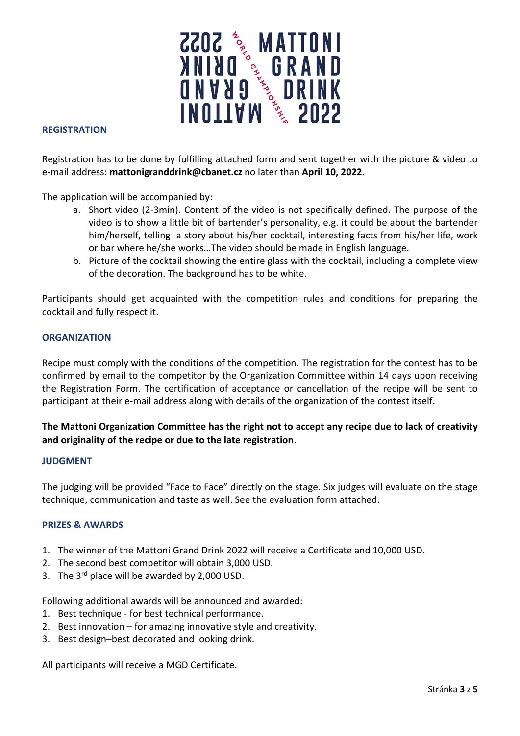

#### **REGISTRATION**

Registration has to be done by fulfilling attached form and sent together with the picture & video to e-mail address: **[mattonigranddrink@cbanet.cz](mailto:mattonigranddrink@cbanet.cz)** no later than **April 10, 2022.**

The application will be accompanied by:

- a. Short video (2-3min). Content of the video is not specifically defined. The purpose of the video is to show a little bit of bartender's personality, e.g. it could be about the bartender him/herself, telling a story about his/her cocktail, interesting facts from his/her life, work or bar where he/she works…The video should be made in English language.
- b. Picture of the cocktail showing the entire glass with the cocktail, including a complete view of the decoration. The background has to be white.

Participants should get acquainted with the competition rules and conditions for preparing the cocktail and fully respect it.

#### **ORGANIZATION**

Recipe must comply with the conditions of the competition. The registration for the contest has to be confirmed by email to the competitor by the Organization Committee within 14 days upon receiving the Registration Form. The certification of acceptance or cancellation of the recipe will be sent to participant at their e-mail address along with details of the organization of the contest itself.

### **The Mattoni Organization Committee has the right not to accept any recipe due to lack of creativity and originality of the recipe or due to the late registration**.

#### **JUDGMENT**

The judging will be provided "Face to Face" directly on the stage. Six judges will evaluate on the stage technique, communication and taste as well. See the evaluation form attached.

#### **PRIZES & AWARDS**

- 1. The winner of the Mattoni Grand Drink 2022 will receive a Certificate and 10,000 USD.
- 2. The second best competitor will obtain 3,000 USD.
- 3. The  $3^{rd}$  place will be awarded by 2,000 USD.

Following additional awards will be announced and awarded:

- 1. Best technique for best technical performance.
- 2. Best innovation for amazing innovative style and creativity.
- 3. Best design–best decorated and looking drink.

All participants will receive a MGD Certificate.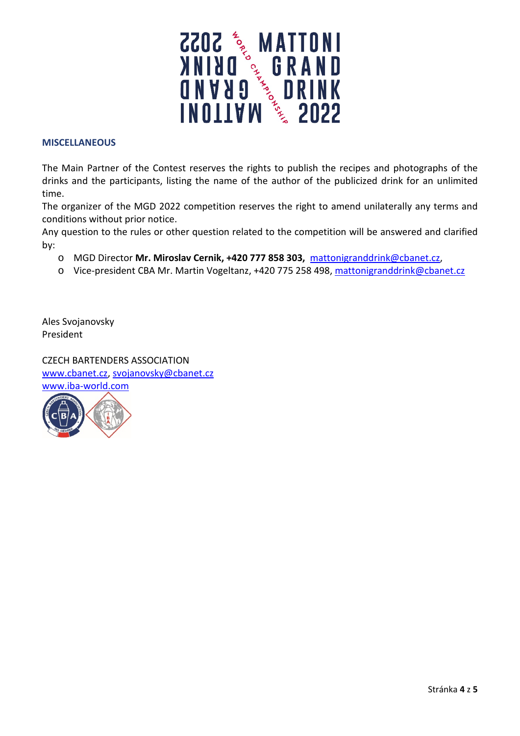

#### **MISCELLANEOUS**

The Main Partner of the Contest reserves the rights to publish the recipes and photographs of the drinks and the participants, listing the name of the author of the publicized drink for an unlimited time.

The organizer of the MGD 2022 competition reserves the right to amend unilaterally any terms and conditions without prior notice.

Any question to the rules or other question related to the competition will be answered and clarified by:

- o MGD Director **Mr. Miroslav Cernik, +420 777 858 303,** [mattonigranddrink@cbanet.cz,](mailto:mattonigranddrink@cbanet.cz)
- o Vice-president CBA Mr. Martin Vogeltanz, +420 775 258 498, [mattonigranddrink@cbanet.cz](mailto:mattonigranddrink@cbanet.cz)

Ales Svojanovsky President

CZECH BARTENDERS ASSOCIATION [www.cbanet.cz,](http://www.cbanet.cz/) [svojanovsky@cbanet.cz](mailto:svojanovsky@cbanet.cz) [www.iba-world.com](http://www.iba-world.com/)